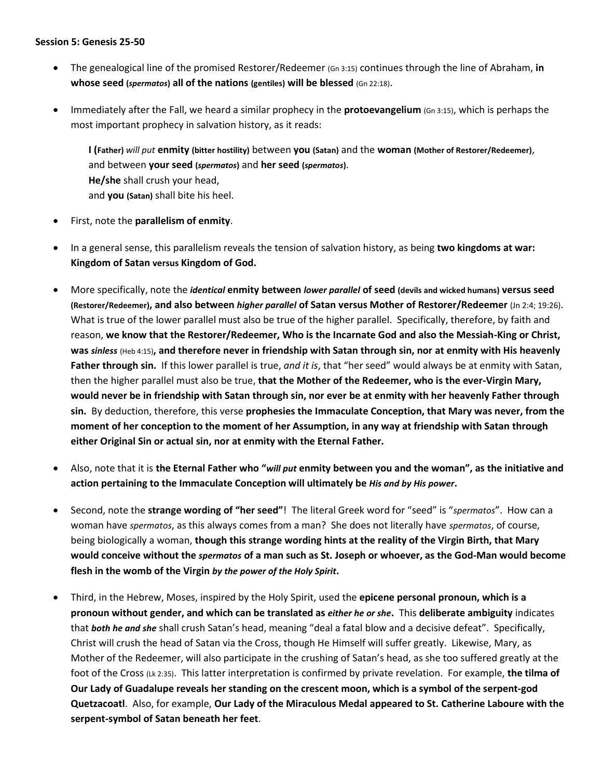## **Session 5: Genesis 25-50**

- The genealogical line of the promised Restorer/Redeemer (Gn 3:15) continues through the line of Abraham, **in whose seed (***spermatos***) all of the nations (gentiles) will be blessed** (Gn 22:18).
- Immediately after the Fall, we heard a similar prophecy in the **protoevangelium** (Gn 3:15), which is perhaps the most important prophecy in salvation history, as it reads:

**I (Father)** *will put* **enmity (bitter hostility)** between **you (Satan)** and the **woman (Mother of Restorer/Redeemer)**, and between **your seed (***spermatos***)** and **her seed (***spermatos***)**. **He/she** shall crush your head, and **you (Satan)** shall bite his heel.

- First, note the **parallelism of enmity**.
- In a general sense, this parallelism reveals the tension of salvation history, as being **two kingdoms at war: Kingdom of Satan versus Kingdom of God.**
- More specifically, note the *identical* **enmity between** *lower parallel* **of seed (devils and wicked humans) versus seed (Restorer/Redeemer), and also between** *higher parallel* **of Satan versus Mother of Restorer/Redeemer** (Jn 2:4; 19:26). What is true of the lower parallel must also be true of the higher parallel. Specifically, therefore, by faith and reason, **we know that the Restorer/Redeemer, Who is the Incarnate God and also the Messiah-King or Christ, was** *sinless* (Heb 4:15)**, and therefore never in friendship with Satan through sin, nor at enmity with His heavenly Father through sin.** If this lower parallel is true, *and it is*, that "her seed" would always be at enmity with Satan, then the higher parallel must also be true, **that the Mother of the Redeemer, who is the ever-Virgin Mary, would never be in friendship with Satan through sin, nor ever be at enmity with her heavenly Father through sin.** By deduction, therefore, this verse **prophesies the Immaculate Conception, that Mary was never, from the moment of her conception to the moment of her Assumption, in any way at friendship with Satan through either Original Sin or actual sin, nor at enmity with the Eternal Father.**
- Also, note that it is **the Eternal Father who "***will put* **enmity between you and the woman", as the initiative and action pertaining to the Immaculate Conception will ultimately be** *His and by His power***.**
- Second, note the **strange wording of "her seed"**! The literal Greek word for "seed" is "*spermatos*". How can a woman have *spermatos*, as this always comes from a man? She does not literally have *spermatos*, of course, being biologically a woman, **though this strange wording hints at the reality of the Virgin Birth, that Mary would conceive without the** *spermatos* **of a man such as St. Joseph or whoever, as the God-Man would become flesh in the womb of the Virgin** *by the power of the Holy Spirit***.**
- Third, in the Hebrew, Moses, inspired by the Holy Spirit, used the **epicene personal pronoun, which is a pronoun without gender, and which can be translated as** *either he or she***.** This **deliberate ambiguity** indicates that *both he and she* shall crush Satan's head, meaning "deal a fatal blow and a decisive defeat". Specifically, Christ will crush the head of Satan via the Cross, though He Himself will suffer greatly. Likewise, Mary, as Mother of the Redeemer, will also participate in the crushing of Satan's head, as she too suffered greatly at the foot of the Cross (Lk 2:35). This latter interpretation is confirmed by private revelation. For example, **the tilma of Our Lady of Guadalupe reveals her standing on the crescent moon, which is a symbol of the serpent-god Quetzacoatl**. Also, for example, **Our Lady of the Miraculous Medal appeared to St. Catherine Laboure with the serpent-symbol of Satan beneath her feet**.